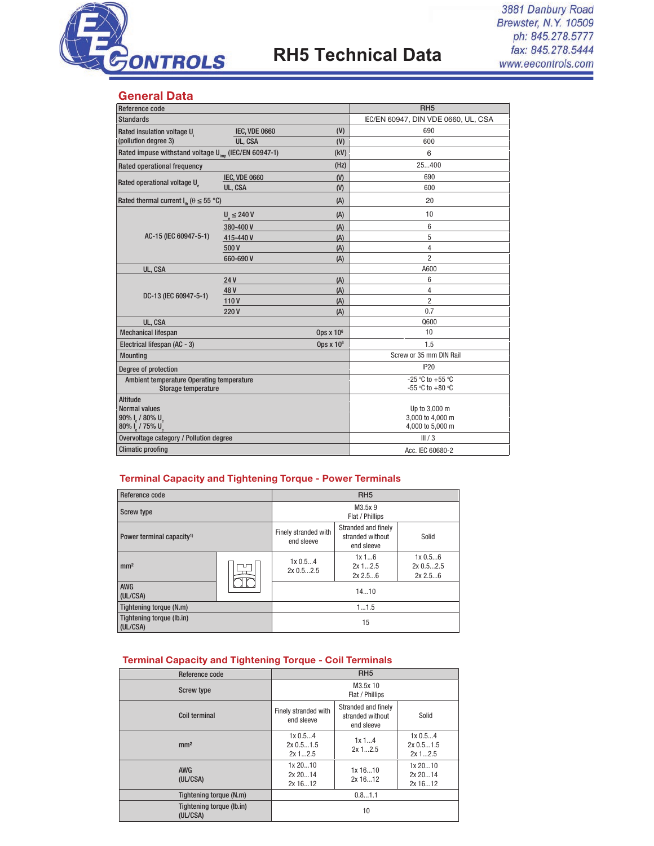

## **RH5 Technical Data**

3881 Danbury Road Brewster, N.Y. 10509 ph: 845.278.5777 fax: 845.278.5444 www.eecontrols.com

#### General Data

| Reference code                                                   |                      | RH <sub>5</sub>                      |                         |  |
|------------------------------------------------------------------|----------------------|--------------------------------------|-------------------------|--|
| <b>Standards</b>                                                 |                      | IEC/EN 60947, DIN VDE 0660, UL, CSA  |                         |  |
| Rated insulation voltage U.                                      | <b>IEC, VDE 0660</b> | (V)                                  | 690                     |  |
| (pollution degree 3)                                             | UL, CSA              | (V)                                  | 600                     |  |
| Rated impuse withstand voltage U <sub>imp</sub> (IEC/EN 60947-1) |                      | (kV)                                 | 6                       |  |
| Rated operational frequency                                      |                      | (Hz)                                 | 25400                   |  |
|                                                                  | <b>IEC, VDE 0660</b> | (V)                                  | 690                     |  |
| Rated operational voltage U                                      | UL, CSA              | (V)                                  | 600                     |  |
| Rated thermal current $I_{\text{th}}$ ( $\theta \le 55$ °C)      |                      | (A)                                  | 20                      |  |
|                                                                  | $U_e \leq 240 V$     | (A)                                  | 10                      |  |
|                                                                  | 380-400 V            | (A)                                  | 6                       |  |
| AC-15 (IEC 60947-5-1)                                            | 415-440V             | (A)                                  | 5                       |  |
|                                                                  | 500V                 | (A)                                  | 4                       |  |
|                                                                  | 660-690 V            | (A)                                  | $\overline{2}$          |  |
| UL, CSA                                                          |                      |                                      | A600                    |  |
|                                                                  | 24 V                 | (A)                                  | 6                       |  |
| DC-13 (IEC 60947-5-1)                                            | 48V                  | (A)                                  | 4                       |  |
|                                                                  | 110V                 | (A)                                  | 2                       |  |
|                                                                  | 220V                 | (A)                                  | 0.7                     |  |
| UL, CSA                                                          |                      |                                      | Q600                    |  |
| <b>Mechanical lifespan</b>                                       |                      | Ops x 10 <sup>6</sup>                | 10                      |  |
| Electrical lifespan (AC - 3)                                     |                      | Ops $x$ 10 $6$                       | 1.5                     |  |
| <b>Mounting</b>                                                  |                      |                                      | Screw or 35 mm DIN Rail |  |
| Degree of protection                                             |                      |                                      | <b>IP20</b>             |  |
| Ambient temperature Operating temperature                        |                      |                                      | -25 °C to +55 °C        |  |
| Storage temperature                                              |                      |                                      | -55 °C to +80 °C        |  |
| <b>Altitude</b>                                                  |                      |                                      |                         |  |
| <b>Normal values</b>                                             |                      |                                      | Up to 3,000 m           |  |
| 90% I / 80% U<br>80% I / 75% U                                   |                      | 3,000 to 4,000 m<br>4,000 to 5,000 m |                         |  |
| Overvoltage category / Pollution degree                          |                      |                                      | III/3                   |  |
| <b>Climatic proofing</b>                                         |                      | Acc. IEC 60680-2                     |                         |  |

#### Terminal Capacity and Tightening Torque - Power Terminals

| Reference code                        |  |                                    | RH <sub>5</sub>                                                |                               |  |
|---------------------------------------|--|------------------------------------|----------------------------------------------------------------|-------------------------------|--|
| <b>Screw type</b>                     |  | M3.5x9<br>Flat / Phillips          |                                                                |                               |  |
| Power terminal capacity <sup>1)</sup> |  | Finely stranded with<br>end sleeve | Stranded and finely<br>stranded without<br>Solid<br>end sleeve |                               |  |
| mm <sup>2</sup>                       |  | 1x0.54<br>$2x\,0.52.5$             | 1x16<br>$2x$ 12.5<br>2x 2.56                                   | 1x0.56<br>2x0.52.5<br>2x 2.56 |  |
| AWG<br>(UL/CSA)                       |  |                                    | 1410                                                           |                               |  |
| Tightening torque (N.m)               |  | 11.5                               |                                                                |                               |  |
| Tightening torque (lb.in)<br>(UL/CSA) |  | 15                                 |                                                                |                               |  |

#### Terminal Capacity and Tightening Torque - Coil Terminals

| Reference code                        | RH <sub>5</sub>                                                                             |                    |                                      |  |
|---------------------------------------|---------------------------------------------------------------------------------------------|--------------------|--------------------------------------|--|
| <b>Screw type</b>                     | M3.5x 10<br>Flat / Phillips                                                                 |                    |                                      |  |
| <b>Coil terminal</b>                  | Stranded and finely<br>Finely stranded with<br>stranded without<br>end sleeve<br>end sleeve |                    | Solid                                |  |
| mm <sup>2</sup>                       | 1x 0.54<br>$2x\,0.51.5$<br>$2x$ 12.5                                                        | 1x14<br>$2x$ 12.5  | 1x 0.54<br>$2x\,0.51.5$<br>$2x$ 12.5 |  |
| <b>AWG</b><br>(UL/CSA)                | 1x 2010<br>2x 2014<br>2x 1612                                                               | 1x 1610<br>2x 1612 | 1x 2010<br>2x 2014<br>2x 1612        |  |
| Tightening torque (N.m)               | 0.81.1                                                                                      |                    |                                      |  |
| Tightening torque (lb.in)<br>(UL/CSA) | 10                                                                                          |                    |                                      |  |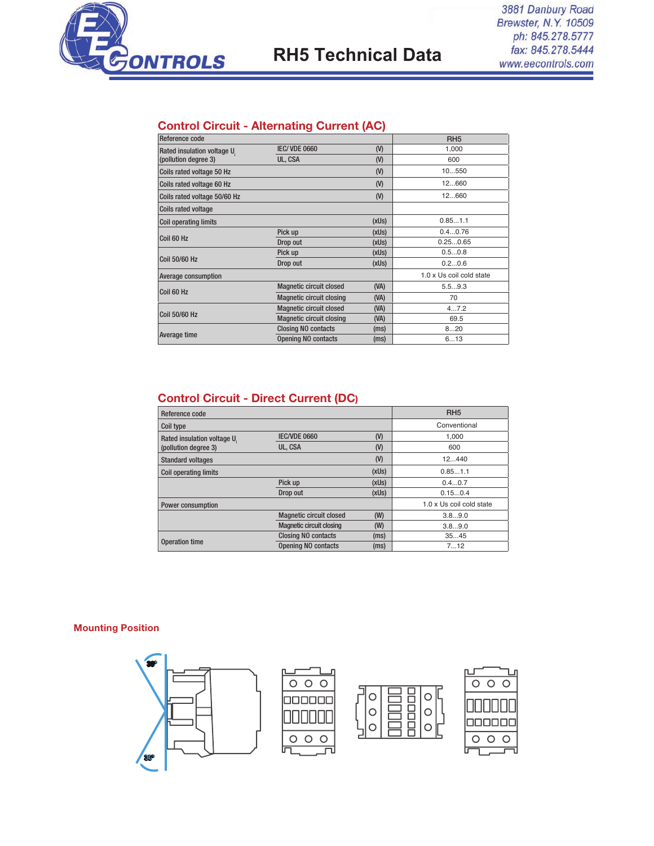

# **RH5 Technical Data**

### Control Circuit - Alternating Current (AC)

| Reference code                                                                                  |                                         |       | RH <sub>5</sub>          |
|-------------------------------------------------------------------------------------------------|-----------------------------------------|-------|--------------------------|
| Rated insulation voltage U.                                                                     | <b>IEC/VDE 0660</b>                     | (V)   | 1,000                    |
| (pollution degree 3)                                                                            | UL, CSA                                 | (V)   | 600                      |
| Coils rated voltage 50 Hz                                                                       |                                         | (V)   | 10550                    |
| Coils rated voltage 60 Hz                                                                       |                                         | (V)   | 12660                    |
| Coils rated voltage 50/60 Hz                                                                    |                                         | (V)   | 12660                    |
| <b>Coils rated voltage</b>                                                                      |                                         |       |                          |
| <b>Coil operating limits</b>                                                                    |                                         | (xUs) | 0.851.1                  |
| Coil 60 Hz                                                                                      | Pick up                                 | (xUs) | 0.40.76                  |
|                                                                                                 | Drop out                                | (xUs) | 0.250.65                 |
|                                                                                                 | Pick up                                 | (xUs) | 0.50.8                   |
| Coil 50/60 Hz                                                                                   | Drop out                                | (xUs) | 0.20.6                   |
| Average consumption                                                                             |                                         |       | 1.0 x Us coil cold state |
| <b>Magnetic circuit closed</b><br>(NA)<br>Coil 60 Hz<br><b>Magnetic circuit closing</b><br>(NA) |                                         |       | 5.59.3                   |
|                                                                                                 |                                         | 70    |                          |
|                                                                                                 | <b>Magnetic circuit closed</b>          | (NA)  | 47.2                     |
| Coil 50/60 Hz                                                                                   | <b>Magnetic circuit closing</b><br>(NA) | 69.5  |                          |
|                                                                                                 | <b>Closing NO contacts</b>              | (ms)  | 820                      |
| Average time                                                                                    | <b>Opening NO contacts</b>              | (ms)  | 613                      |

### Control Circuit - Direct Current (DC)

| Reference code               |                                 |       | RH <sub>5</sub>          |
|------------------------------|---------------------------------|-------|--------------------------|
| Coil type                    |                                 |       | Conventional             |
| Rated insulation voltage U.  | <b>IEC/VDE 0660</b>             | (     | 1.000                    |
| (pollution degree 3)         | UL, CSA                         | (V)   | 600                      |
| <b>Standard voltages</b>     |                                 | (V)   | 12440                    |
| <b>Coil operating limits</b> |                                 | (xUs) | 0.851.1                  |
|                              | Pick up                         | (xUs) | 0.40.7                   |
|                              | Drop out                        | (xUs) | 0.150.4                  |
| <b>Power consumption</b>     |                                 |       | 1.0 x Us coil cold state |
|                              | <b>Magnetic circuit closed</b>  | (W)   | 3.89.0                   |
|                              | <b>Magnetic circuit closing</b> | (W)   | 3.89.0                   |
|                              | <b>Closing NO contacts</b>      | (ms)  | 3545                     |
| <b>Operation time</b>        | <b>Opening NO contacts</b>      | (ms)  | 712                      |

#### Mounting Position